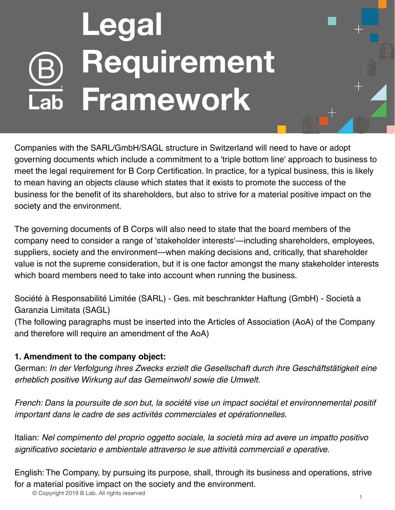## **Legal Requirement Framework**

Companies with the SARL/GmbH/SAGL structure in Switzerland will need to have or adopt governing documents which include a commitment to a 'triple bottom line' approach to business to meet the legal requirement for B Corp Certification. In practice, for a typical business, this is likely to mean having an objects clause which states that it exists to promote the success of the business for the benefit of its shareholders, but also to strive for a material positive impact on the society and the environment.

The governing documents of B Corps will also need to state that the board members of the company need to consider a range of 'stakeholder interests'—including shareholders, employees, suppliers, society and the environment—when making decisions and, critically, that shareholder value is not the supreme consideration, but it is one factor amongst the many stakeholder interests which board members need to take into account when running the business.

Société à Responsabilité Limitée (SARL) - Ges. mit beschrankter Haftung (GmbH) - Società a Garanzia Limitata (SAGL)

(The following paragraphs must be inserted into the Articles of Association (AoA) of the Company and therefore will require an amendment of the AoA)

## **1. Amendment to the company object:**

German: In der Verfolgung ihres Zwecks erzielt die Gesellschaft durch ihre Geschäftstätigkeit eine erheblich positive Wirkung auf das Gemeinwohl sowie die Umwelt.

French: Dans la poursuite de son but, la société vise un impact sociétal et environnemental positif important dans le cadre de ses activités commerciales et opérationnelles.

Italian: Nel compimento del proprio oggetto sociale, la società mira ad avere un impatto positivo significativo societario e ambientale attraverso le sue attività commerciali e operative.

English: The Company, by pursuing its purpose, shall, through its business and operations, strive for a material positive impact on the society and the environment.

© Copyright 2019 B Lab. All rights reserved